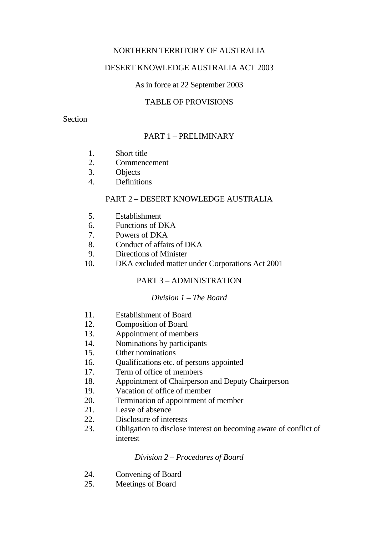## NORTHERN TERRITORY OF AUSTRALIA

## DESERT KNOWLEDGE AUSTRALIA ACT 2003

## As in force at 22 September 2003

## TABLE OF PROVISIONS

### Section

# PART 1 – PRELIMINARY

- 1. Short title
- 2. Commencement
- 3. Objects
- 4. Definitions

## PART 2 – DESERT KNOWLEDGE AUSTRALIA

- 5. Establishment
- 6. Functions of DKA
- 7. Powers of DKA
- 8. Conduct of affairs of DKA
- 9. Directions of Minister
- 10. DKA excluded matter under Corporations Act 2001

## PART 3 – ADMINISTRATION

### *Division 1 – The Board*

- 11. Establishment of Board
- 12. Composition of Board
- 13. Appointment of members
- 14. Nominations by participants
- 15. Other nominations
- 16. Qualifications etc. of persons appointed
- 17. Term of office of members
- 18. Appointment of Chairperson and Deputy Chairperson
- 19. Vacation of office of member
- 20. Termination of appointment of member
- 21. Leave of absence
- 22. Disclosure of interests
- 23. Obligation to disclose interest on becoming aware of conflict of interest

### *Division 2 – Procedures of Board*

- 24. Convening of Board
- 25. Meetings of Board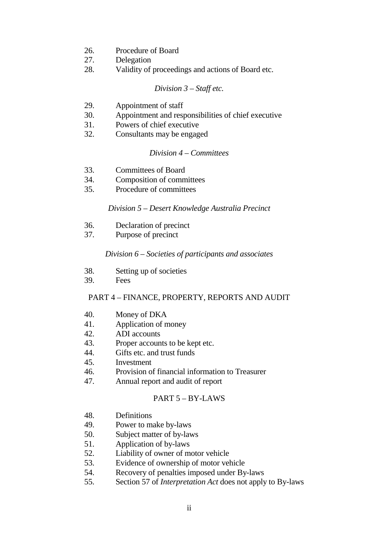- 26. Procedure of Board
- 27. Delegation
- 28. Validity of proceedings and actions of Board etc.

#### *Division 3 – Staff etc.*

- 29. Appointment of staff
- 30. Appointment and responsibilities of chief executive
- 31. Powers of chief executive
- 32. Consultants may be engaged

#### *Division 4 – Committees*

- 33. Committees of Board
- 34. Composition of committees
- 35. Procedure of committees

#### *Division 5 – Desert Knowledge Australia Precinct*

- 36. Declaration of precinct
- 37. Purpose of precinct

### *Division 6 – Societies of participants and associates*

- 38. Setting up of societies
- 39. Fees

# PART 4 – FINANCE, PROPERTY, REPORTS AND AUDIT

- 40. Money of DKA
- 41. Application of money
- 42. ADI accounts
- 43. Proper accounts to be kept etc.
- 44. Gifts etc. and trust funds
- 45. Investment
- 46. Provision of financial information to Treasurer
- 47. Annual report and audit of report

#### PART 5 – BY-LAWS

- 48. Definitions
- 49. Power to make by-laws
- 50. Subject matter of by-laws
- 51. Application of by-laws
- 52. Liability of owner of motor vehicle
- 53. Evidence of ownership of motor vehicle
- 54. Recovery of penalties imposed under By-laws
- 55. Section 57 of *Interpretation Act* does not apply to By-laws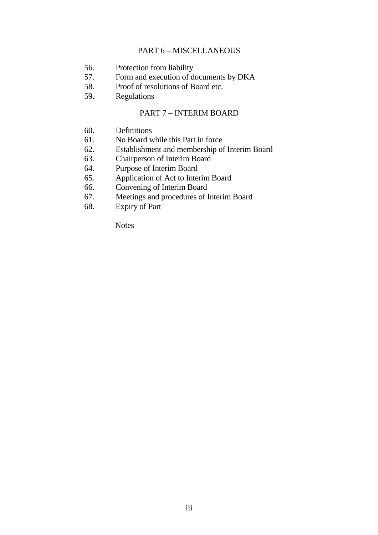### PART 6 – MISCELLANEOUS

- 56. Protection from liability
- 57. Form and execution of documents by DKA
- 58. Proof of resolutions of Board etc.<br>59. Regulations
- **Regulations**

### PART 7 – INTERIM BOARD

- 60. Definitions
- 61. No Board while this Part in force
- 62. Establishment and membership of Interim Board
- 63. Chairperson of Interim Board
- 64. Purpose of Interim Board
- 65. Application of Act to Interim Board
- 66. Convening of Interim Board
- 67. Meetings and procedures of Interim Board
- 68. Expiry of Part

Notes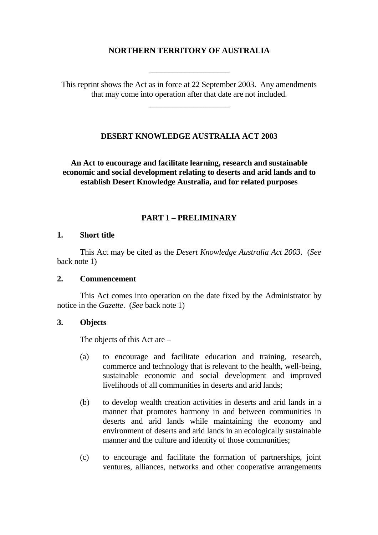# **NORTHERN TERRITORY OF AUSTRALIA**

\_\_\_\_\_\_\_\_\_\_\_\_\_\_\_\_\_\_\_\_

This reprint shows the Act as in force at 22 September 2003. Any amendments that may come into operation after that date are not included.

\_\_\_\_\_\_\_\_\_\_\_\_\_\_\_\_\_\_\_\_

## **DESERT KNOWLEDGE AUSTRALIA ACT 2003**

**An Act to encourage and facilitate learning, research and sustainable economic and social development relating to deserts and arid lands and to establish Desert Knowledge Australia, and for related purposes**

## **PART 1 – PRELIMINARY**

#### **1. Short title**

This Act may be cited as the *Desert Knowledge Australia Act 2003*. (*See* back note 1)

### **2. Commencement**

This Act comes into operation on the date fixed by the Administrator by notice in the *Gazette*. (*See* back note 1)

### **3. Objects**

The objects of this Act are –

- (a) to encourage and facilitate education and training, research, commerce and technology that is relevant to the health, well-being, sustainable economic and social development and improved livelihoods of all communities in deserts and arid lands;
- (b) to develop wealth creation activities in deserts and arid lands in a manner that promotes harmony in and between communities in deserts and arid lands while maintaining the economy and environment of deserts and arid lands in an ecologically sustainable manner and the culture and identity of those communities;
- (c) to encourage and facilitate the formation of partnerships, joint ventures, alliances, networks and other cooperative arrangements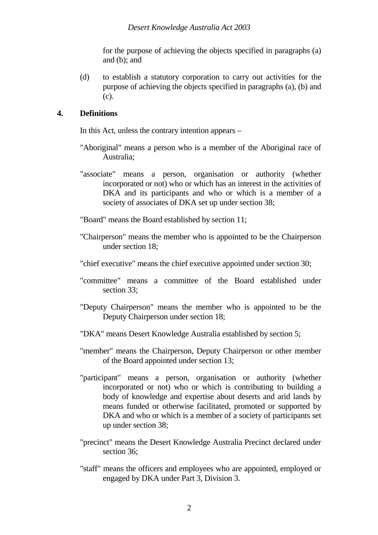for the purpose of achieving the objects specified in paragraphs (a) and (b); and

(d) to establish a statutory corporation to carry out activities for the purpose of achieving the objects specified in paragraphs (a), (b) and (c).

### **4. Definitions**

In this Act, unless the contrary intention appears –

- "Aboriginal" means a person who is a member of the Aboriginal race of Australia;
- "associate" means a person, organisation or authority (whether incorporated or not) who or which has an interest in the activities of DKA and its participants and who or which is a member of a society of associates of DKA set up under section 38;

"Board" means the Board established by section 11;

- "Chairperson" means the member who is appointed to be the Chairperson under section 18;
- "chief executive" means the chief executive appointed under section 30;
- "committee" means a committee of the Board established under section 33:
- "Deputy Chairperson" means the member who is appointed to be the Deputy Chairperson under section 18;
- "DKA" means Desert Knowledge Australia established by section 5;
- "member" means the Chairperson, Deputy Chairperson or other member of the Board appointed under section 13;
- "participant" means a person, organisation or authority (whether incorporated or not) who or which is contributing to building a body of knowledge and expertise about deserts and arid lands by means funded or otherwise facilitated, promoted or supported by DKA and who or which is a member of a society of participants set up under section 38;
- "precinct" means the Desert Knowledge Australia Precinct declared under section 36;
- "staff" means the officers and employees who are appointed, employed or engaged by DKA under Part 3, Division 3.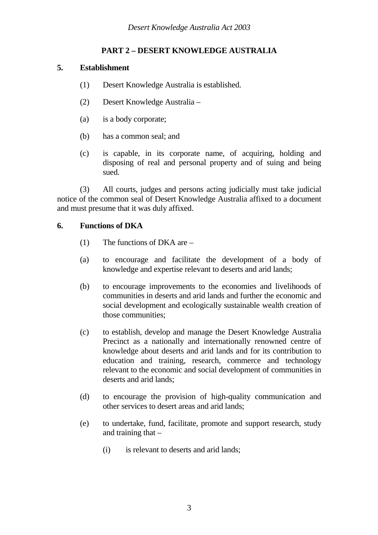# **PART 2 – DESERT KNOWLEDGE AUSTRALIA**

## **5. Establishment**

- (1) Desert Knowledge Australia is established.
- (2) Desert Knowledge Australia –
- (a) is a body corporate;
- (b) has a common seal; and
- (c) is capable, in its corporate name, of acquiring, holding and disposing of real and personal property and of suing and being sued.

(3) All courts, judges and persons acting judicially must take judicial notice of the common seal of Desert Knowledge Australia affixed to a document and must presume that it was duly affixed.

# **6. Functions of DKA**

- (1) The functions of DKA are –
- (a) to encourage and facilitate the development of a body of knowledge and expertise relevant to deserts and arid lands;
- (b) to encourage improvements to the economies and livelihoods of communities in deserts and arid lands and further the economic and social development and ecologically sustainable wealth creation of those communities;
- (c) to establish, develop and manage the Desert Knowledge Australia Precinct as a nationally and internationally renowned centre of knowledge about deserts and arid lands and for its contribution to education and training, research, commerce and technology relevant to the economic and social development of communities in deserts and arid lands;
- (d) to encourage the provision of high-quality communication and other services to desert areas and arid lands;
- (e) to undertake, fund, facilitate, promote and support research, study and training that –
	- (i) is relevant to deserts and arid lands;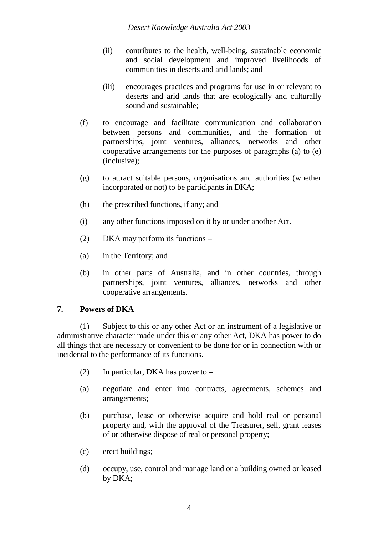- (ii) contributes to the health, well-being, sustainable economic and social development and improved livelihoods of communities in deserts and arid lands; and
- (iii) encourages practices and programs for use in or relevant to deserts and arid lands that are ecologically and culturally sound and sustainable;
- (f) to encourage and facilitate communication and collaboration between persons and communities, and the formation of partnerships, joint ventures, alliances, networks and other cooperative arrangements for the purposes of paragraphs (a) to (e) (inclusive);
- (g) to attract suitable persons, organisations and authorities (whether incorporated or not) to be participants in DKA;
- (h) the prescribed functions, if any; and
- (i) any other functions imposed on it by or under another Act.
- (2) DKA may perform its functions –
- (a) in the Territory; and
- (b) in other parts of Australia, and in other countries, through partnerships, joint ventures, alliances, networks and other cooperative arrangements.

## **7. Powers of DKA**

(1) Subject to this or any other Act or an instrument of a legislative or administrative character made under this or any other Act, DKA has power to do all things that are necessary or convenient to be done for or in connection with or incidental to the performance of its functions.

- (2) In particular, DKA has power to –
- (a) negotiate and enter into contracts, agreements, schemes and arrangements;
- (b) purchase, lease or otherwise acquire and hold real or personal property and, with the approval of the Treasurer, sell, grant leases of or otherwise dispose of real or personal property;
- (c) erect buildings;
- (d) occupy, use, control and manage land or a building owned or leased by DKA;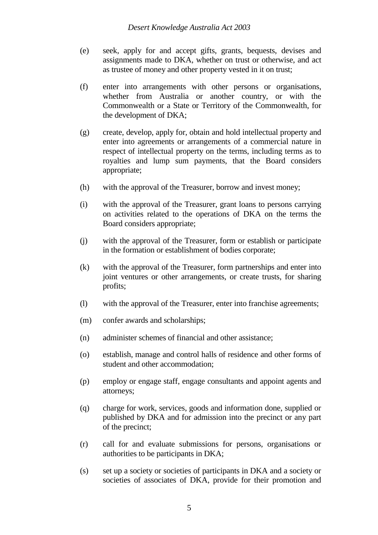- (e) seek, apply for and accept gifts, grants, bequests, devises and assignments made to DKA, whether on trust or otherwise, and act as trustee of money and other property vested in it on trust;
- (f) enter into arrangements with other persons or organisations, whether from Australia or another country, or with the Commonwealth or a State or Territory of the Commonwealth, for the development of DKA;
- (g) create, develop, apply for, obtain and hold intellectual property and enter into agreements or arrangements of a commercial nature in respect of intellectual property on the terms, including terms as to royalties and lump sum payments, that the Board considers appropriate;
- (h) with the approval of the Treasurer, borrow and invest money;
- (i) with the approval of the Treasurer, grant loans to persons carrying on activities related to the operations of DKA on the terms the Board considers appropriate;
- (j) with the approval of the Treasurer, form or establish or participate in the formation or establishment of bodies corporate;
- (k) with the approval of the Treasurer, form partnerships and enter into joint ventures or other arrangements, or create trusts, for sharing profits;
- (l) with the approval of the Treasurer, enter into franchise agreements;
- (m) confer awards and scholarships;
- (n) administer schemes of financial and other assistance;
- (o) establish, manage and control halls of residence and other forms of student and other accommodation;
- (p) employ or engage staff, engage consultants and appoint agents and attorneys;
- (q) charge for work, services, goods and information done, supplied or published by DKA and for admission into the precinct or any part of the precinct;
- (r) call for and evaluate submissions for persons, organisations or authorities to be participants in DKA;
- (s) set up a society or societies of participants in DKA and a society or societies of associates of DKA, provide for their promotion and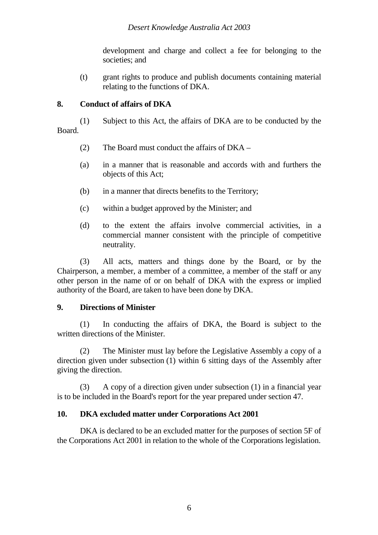development and charge and collect a fee for belonging to the societies; and

(t) grant rights to produce and publish documents containing material relating to the functions of DKA.

## **8. Conduct of affairs of DKA**

(1) Subject to this Act, the affairs of DKA are to be conducted by the Board.

- (2) The Board must conduct the affairs of DKA –
- (a) in a manner that is reasonable and accords with and furthers the objects of this Act;
- (b) in a manner that directs benefits to the Territory;
- (c) within a budget approved by the Minister; and
- (d) to the extent the affairs involve commercial activities, in a commercial manner consistent with the principle of competitive neutrality.

(3) All acts, matters and things done by the Board, or by the Chairperson, a member, a member of a committee, a member of the staff or any other person in the name of or on behalf of DKA with the express or implied authority of the Board, are taken to have been done by DKA.

## **9. Directions of Minister**

(1) In conducting the affairs of DKA, the Board is subject to the written directions of the Minister.

(2) The Minister must lay before the Legislative Assembly a copy of a direction given under subsection (1) within 6 sitting days of the Assembly after giving the direction.

(3) A copy of a direction given under subsection (1) in a financial year is to be included in the Board's report for the year prepared under section 47.

# **10. DKA excluded matter under Corporations Act 2001**

DKA is declared to be an excluded matter for the purposes of section 5F of the Corporations Act 2001 in relation to the whole of the Corporations legislation.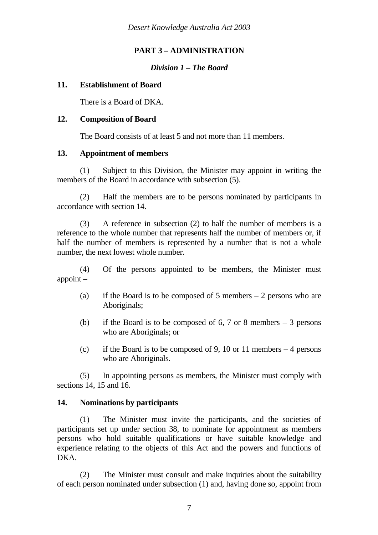# **PART 3 – ADMINISTRATION**

## *Division 1 – The Board*

## **11. Establishment of Board**

There is a Board of DKA.

## **12. Composition of Board**

The Board consists of at least 5 and not more than 11 members.

# **13. Appointment of members**

(1) Subject to this Division, the Minister may appoint in writing the members of the Board in accordance with subsection (5).

(2) Half the members are to be persons nominated by participants in accordance with section 14.

(3) A reference in subsection (2) to half the number of members is a reference to the whole number that represents half the number of members or, if half the number of members is represented by a number that is not a whole number, the next lowest whole number.

(4) Of the persons appointed to be members, the Minister must appoint –

- (a) if the Board is to be composed of 5 members  $-2$  persons who are Aboriginals;
- (b) if the Board is to be composed of  $6, 7$  or 8 members  $-3$  persons who are Aboriginals; or
- (c) if the Board is to be composed of 9, 10 or 11 members  $-4$  persons who are Aboriginals.

(5) In appointing persons as members, the Minister must comply with sections 14, 15 and 16.

## **14. Nominations by participants**

(1) The Minister must invite the participants, and the societies of participants set up under section 38, to nominate for appointment as members persons who hold suitable qualifications or have suitable knowledge and experience relating to the objects of this Act and the powers and functions of DKA.

(2) The Minister must consult and make inquiries about the suitability of each person nominated under subsection (1) and, having done so, appoint from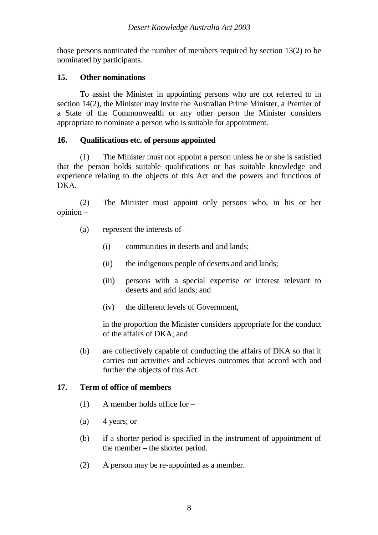those persons nominated the number of members required by section 13(2) to be nominated by participants.

## **15. Other nominations**

To assist the Minister in appointing persons who are not referred to in section 14(2), the Minister may invite the Australian Prime Minister, a Premier of a State of the Commonwealth or any other person the Minister considers appropriate to nominate a person who is suitable for appointment.

# **16. Qualifications etc. of persons appointed**

(1) The Minister must not appoint a person unless he or she is satisfied that the person holds suitable qualifications or has suitable knowledge and experience relating to the objects of this Act and the powers and functions of DKA.

(2) The Minister must appoint only persons who, in his or her opinion –

- (a) represent the interests of
	- (i) communities in deserts and arid lands;
	- (ii) the indigenous people of deserts and arid lands;
	- (iii) persons with a special expertise or interest relevant to deserts and arid lands; and
	- (iv) the different levels of Government,

in the proportion the Minister considers appropriate for the conduct of the affairs of DKA; and

(b) are collectively capable of conducting the affairs of DKA so that it carries out activities and achieves outcomes that accord with and further the objects of this Act.

# **17. Term of office of members**

- (1) A member holds office for –
- $(a)$  4 years; or
- (b) if a shorter period is specified in the instrument of appointment of the member – the shorter period.
- (2) A person may be re-appointed as a member.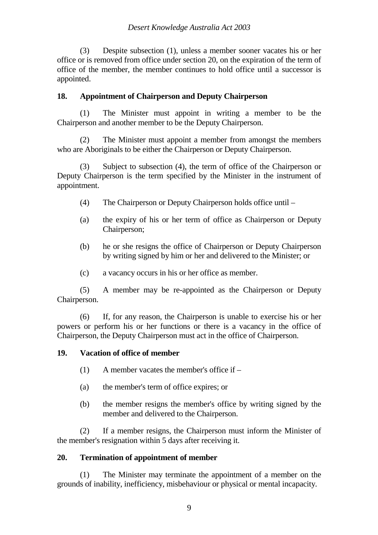(3) Despite subsection (1), unless a member sooner vacates his or her office or is removed from office under section 20, on the expiration of the term of office of the member, the member continues to hold office until a successor is appointed.

## **18. Appointment of Chairperson and Deputy Chairperson**

(1) The Minister must appoint in writing a member to be the Chairperson and another member to be the Deputy Chairperson.

(2) The Minister must appoint a member from amongst the members who are Aboriginals to be either the Chairperson or Deputy Chairperson.

(3) Subject to subsection (4), the term of office of the Chairperson or Deputy Chairperson is the term specified by the Minister in the instrument of appointment.

- (4) The Chairperson or Deputy Chairperson holds office until –
- (a) the expiry of his or her term of office as Chairperson or Deputy Chairperson;
- (b) he or she resigns the office of Chairperson or Deputy Chairperson by writing signed by him or her and delivered to the Minister; or
- (c) a vacancy occurs in his or her office as member.

(5) A member may be re-appointed as the Chairperson or Deputy Chairperson.

(6) If, for any reason, the Chairperson is unable to exercise his or her powers or perform his or her functions or there is a vacancy in the office of Chairperson, the Deputy Chairperson must act in the office of Chairperson.

## **19. Vacation of office of member**

- (1) A member vacates the member's office if –
- (a) the member's term of office expires; or
- (b) the member resigns the member's office by writing signed by the member and delivered to the Chairperson.

(2) If a member resigns, the Chairperson must inform the Minister of the member's resignation within 5 days after receiving it.

## **20. Termination of appointment of member**

(1) The Minister may terminate the appointment of a member on the grounds of inability, inefficiency, misbehaviour or physical or mental incapacity.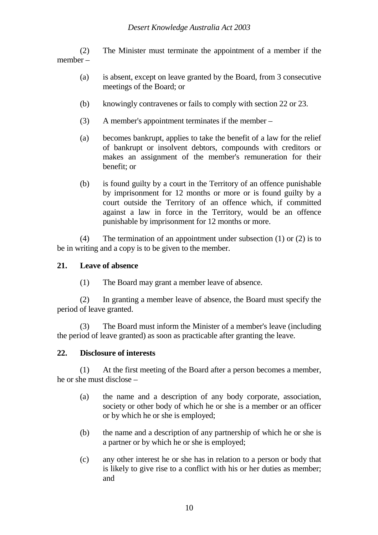(2) The Minister must terminate the appointment of a member if the member –

- (a) is absent, except on leave granted by the Board, from 3 consecutive meetings of the Board; or
- (b) knowingly contravenes or fails to comply with section 22 or 23.
- (3) A member's appointment terminates if the member –
- (a) becomes bankrupt, applies to take the benefit of a law for the relief of bankrupt or insolvent debtors, compounds with creditors or makes an assignment of the member's remuneration for their benefit; or
- (b) is found guilty by a court in the Territory of an offence punishable by imprisonment for 12 months or more or is found guilty by a court outside the Territory of an offence which, if committed against a law in force in the Territory, would be an offence punishable by imprisonment for 12 months or more.

(4) The termination of an appointment under subsection (1) or (2) is to be in writing and a copy is to be given to the member.

## **21. Leave of absence**

(1) The Board may grant a member leave of absence.

(2) In granting a member leave of absence, the Board must specify the period of leave granted.

(3) The Board must inform the Minister of a member's leave (including the period of leave granted) as soon as practicable after granting the leave.

## **22. Disclosure of interests**

(1) At the first meeting of the Board after a person becomes a member, he or she must disclose –

- (a) the name and a description of any body corporate, association, society or other body of which he or she is a member or an officer or by which he or she is employed;
- (b) the name and a description of any partnership of which he or she is a partner or by which he or she is employed;
- (c) any other interest he or she has in relation to a person or body that is likely to give rise to a conflict with his or her duties as member; and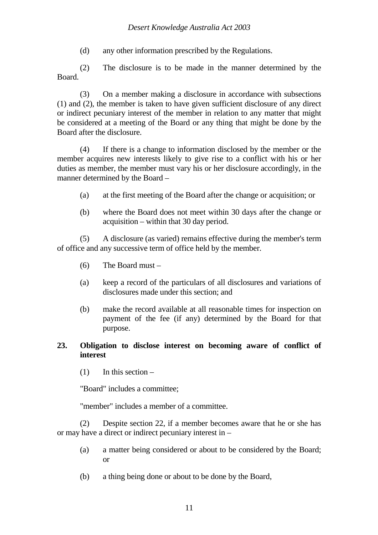## *Desert Knowledge Australia Act 2003*

(d) any other information prescribed by the Regulations.

(2) The disclosure is to be made in the manner determined by the Board.

(3) On a member making a disclosure in accordance with subsections (1) and (2), the member is taken to have given sufficient disclosure of any direct or indirect pecuniary interest of the member in relation to any matter that might be considered at a meeting of the Board or any thing that might be done by the Board after the disclosure.

(4) If there is a change to information disclosed by the member or the member acquires new interests likely to give rise to a conflict with his or her duties as member, the member must vary his or her disclosure accordingly, in the manner determined by the Board –

- (a) at the first meeting of the Board after the change or acquisition; or
- (b) where the Board does not meet within 30 days after the change or acquisition – within that 30 day period.

(5) A disclosure (as varied) remains effective during the member's term of office and any successive term of office held by the member.

- (6) The Board must –
- (a) keep a record of the particulars of all disclosures and variations of disclosures made under this section; and
- (b) make the record available at all reasonable times for inspection on payment of the fee (if any) determined by the Board for that purpose.

## **23. Obligation to disclose interest on becoming aware of conflict of interest**

 $(1)$  In this section –

"Board" includes a committee;

"member" includes a member of a committee.

(2) Despite section 22, if a member becomes aware that he or she has or may have a direct or indirect pecuniary interest in –

- (a) a matter being considered or about to be considered by the Board; or
- (b) a thing being done or about to be done by the Board,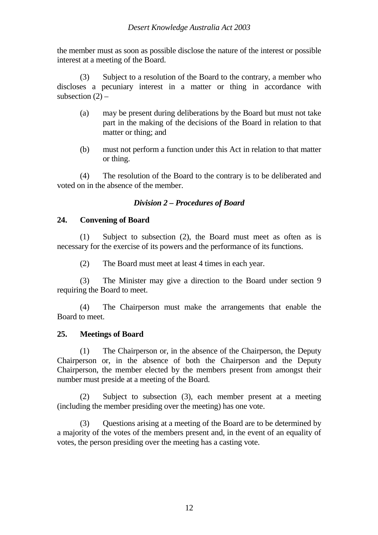the member must as soon as possible disclose the nature of the interest or possible interest at a meeting of the Board.

(3) Subject to a resolution of the Board to the contrary, a member who discloses a pecuniary interest in a matter or thing in accordance with subsection  $(2)$  –

- (a) may be present during deliberations by the Board but must not take part in the making of the decisions of the Board in relation to that matter or thing; and
- (b) must not perform a function under this Act in relation to that matter or thing.

(4) The resolution of the Board to the contrary is to be deliberated and voted on in the absence of the member.

# *Division 2 – Procedures of Board*

## **24. Convening of Board**

(1) Subject to subsection (2), the Board must meet as often as is necessary for the exercise of its powers and the performance of its functions.

(2) The Board must meet at least 4 times in each year.

(3) The Minister may give a direction to the Board under section 9 requiring the Board to meet.

(4) The Chairperson must make the arrangements that enable the Board to meet.

## **25. Meetings of Board**

(1) The Chairperson or, in the absence of the Chairperson, the Deputy Chairperson or, in the absence of both the Chairperson and the Deputy Chairperson, the member elected by the members present from amongst their number must preside at a meeting of the Board.

(2) Subject to subsection (3), each member present at a meeting (including the member presiding over the meeting) has one vote.

(3) Questions arising at a meeting of the Board are to be determined by a majority of the votes of the members present and, in the event of an equality of votes, the person presiding over the meeting has a casting vote.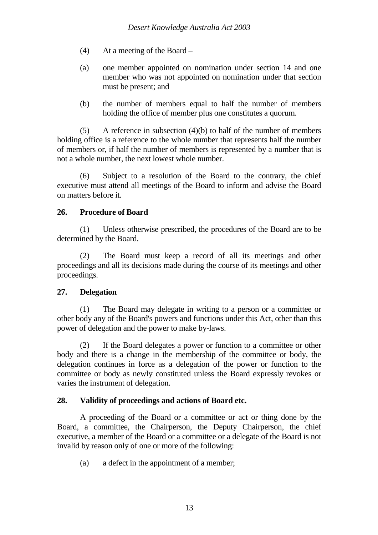- (4) At a meeting of the Board –
- (a) one member appointed on nomination under section 14 and one member who was not appointed on nomination under that section must be present; and
- (b) the number of members equal to half the number of members holding the office of member plus one constitutes a quorum.

(5) A reference in subsection (4)(b) to half of the number of members holding office is a reference to the whole number that represents half the number of members or, if half the number of members is represented by a number that is not a whole number, the next lowest whole number.

(6) Subject to a resolution of the Board to the contrary, the chief executive must attend all meetings of the Board to inform and advise the Board on matters before it.

# **26. Procedure of Board**

(1) Unless otherwise prescribed, the procedures of the Board are to be determined by the Board.

(2) The Board must keep a record of all its meetings and other proceedings and all its decisions made during the course of its meetings and other proceedings.

## **27. Delegation**

(1) The Board may delegate in writing to a person or a committee or other body any of the Board's powers and functions under this Act, other than this power of delegation and the power to make by-laws.

(2) If the Board delegates a power or function to a committee or other body and there is a change in the membership of the committee or body, the delegation continues in force as a delegation of the power or function to the committee or body as newly constituted unless the Board expressly revokes or varies the instrument of delegation.

# **28. Validity of proceedings and actions of Board etc.**

A proceeding of the Board or a committee or act or thing done by the Board, a committee, the Chairperson, the Deputy Chairperson, the chief executive, a member of the Board or a committee or a delegate of the Board is not invalid by reason only of one or more of the following:

(a) a defect in the appointment of a member;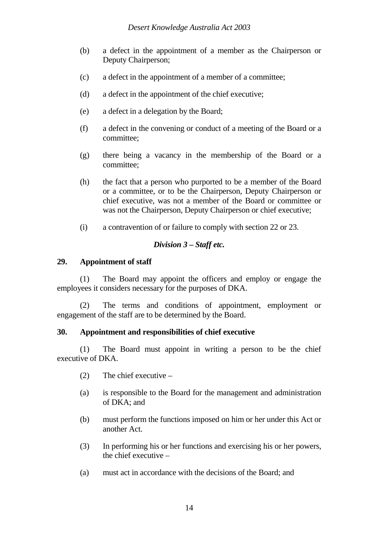- (b) a defect in the appointment of a member as the Chairperson or Deputy Chairperson;
- (c) a defect in the appointment of a member of a committee;
- (d) a defect in the appointment of the chief executive;
- (e) a defect in a delegation by the Board;
- (f) a defect in the convening or conduct of a meeting of the Board or a committee;
- (g) there being a vacancy in the membership of the Board or a committee;
- (h) the fact that a person who purported to be a member of the Board or a committee, or to be the Chairperson, Deputy Chairperson or chief executive, was not a member of the Board or committee or was not the Chairperson, Deputy Chairperson or chief executive;
- (i) a contravention of or failure to comply with section 22 or 23.

# *Division 3 – Staff etc.*

## **29. Appointment of staff**

(1) The Board may appoint the officers and employ or engage the employees it considers necessary for the purposes of DKA.

(2) The terms and conditions of appointment, employment or engagement of the staff are to be determined by the Board.

## **30. Appointment and responsibilities of chief executive**

(1) The Board must appoint in writing a person to be the chief executive of DKA.

- (2) The chief executive –
- (a) is responsible to the Board for the management and administration of DKA; and
- (b) must perform the functions imposed on him or her under this Act or another Act.
- (3) In performing his or her functions and exercising his or her powers, the chief executive –
- (a) must act in accordance with the decisions of the Board; and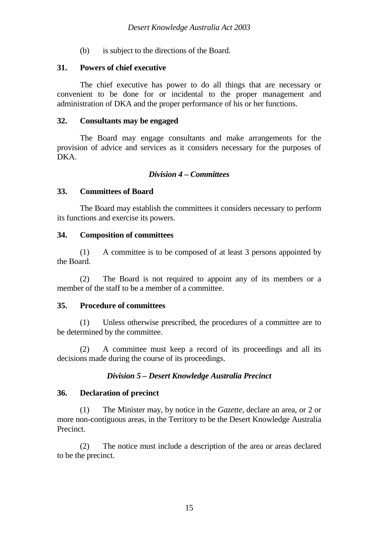(b) is subject to the directions of the Board.

## **31. Powers of chief executive**

The chief executive has power to do all things that are necessary or convenient to be done for or incidental to the proper management and administration of DKA and the proper performance of his or her functions.

## **32. Consultants may be engaged**

The Board may engage consultants and make arrangements for the provision of advice and services as it considers necessary for the purposes of DKA.

## *Division 4 – Committees*

## **33. Committees of Board**

The Board may establish the committees it considers necessary to perform its functions and exercise its powers.

## **34. Composition of committees**

(1) A committee is to be composed of at least 3 persons appointed by the Board.

(2) The Board is not required to appoint any of its members or a member of the staff to be a member of a committee.

## **35. Procedure of committees**

(1) Unless otherwise prescribed, the procedures of a committee are to be determined by the committee.

(2) A committee must keep a record of its proceedings and all its decisions made during the course of its proceedings.

## *Division 5 – Desert Knowledge Australia Precinct*

### **36. Declaration of precinct**

(1) The Minister may, by notice in the *Gazette*, declare an area, or 2 or more non-contiguous areas, in the Territory to be the Desert Knowledge Australia Precinct.

(2) The notice must include a description of the area or areas declared to be the precinct.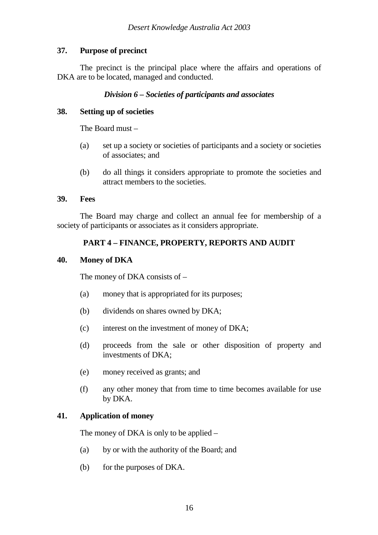# **37. Purpose of precinct**

The precinct is the principal place where the affairs and operations of DKA are to be located, managed and conducted.

# *Division 6 – Societies of participants and associates*

## **38. Setting up of societies**

The Board must –

- (a) set up a society or societies of participants and a society or societies of associates; and
- (b) do all things it considers appropriate to promote the societies and attract members to the societies.

## **39. Fees**

The Board may charge and collect an annual fee for membership of a society of participants or associates as it considers appropriate.

# **PART 4 – FINANCE, PROPERTY, REPORTS AND AUDIT**

## **40. Money of DKA**

The money of DKA consists of –

- (a) money that is appropriated for its purposes;
- (b) dividends on shares owned by DKA;
- (c) interest on the investment of money of DKA;
- (d) proceeds from the sale or other disposition of property and investments of DKA;
- (e) money received as grants; and
- (f) any other money that from time to time becomes available for use by DKA.

## **41. Application of money**

The money of DKA is only to be applied –

- (a) by or with the authority of the Board; and
- (b) for the purposes of DKA.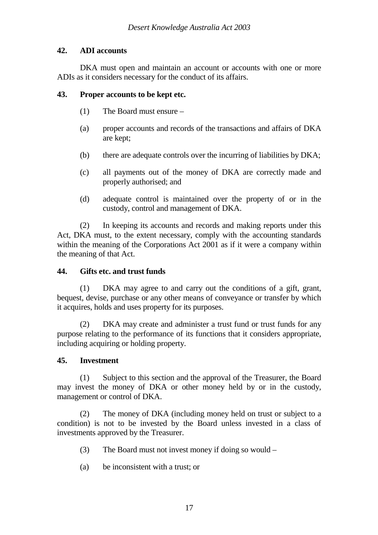# **42. ADI accounts**

DKA must open and maintain an account or accounts with one or more ADIs as it considers necessary for the conduct of its affairs.

## **43. Proper accounts to be kept etc.**

- (1) The Board must ensure –
- (a) proper accounts and records of the transactions and affairs of DKA are kept;
- (b) there are adequate controls over the incurring of liabilities by DKA;
- (c) all payments out of the money of DKA are correctly made and properly authorised; and
- (d) adequate control is maintained over the property of or in the custody, control and management of DKA.

(2) In keeping its accounts and records and making reports under this Act, DKA must, to the extent necessary, comply with the accounting standards within the meaning of the Corporations Act 2001 as if it were a company within the meaning of that Act.

## **44. Gifts etc. and trust funds**

(1) DKA may agree to and carry out the conditions of a gift, grant, bequest, devise, purchase or any other means of conveyance or transfer by which it acquires, holds and uses property for its purposes.

(2) DKA may create and administer a trust fund or trust funds for any purpose relating to the performance of its functions that it considers appropriate, including acquiring or holding property.

# **45. Investment**

(1) Subject to this section and the approval of the Treasurer, the Board may invest the money of DKA or other money held by or in the custody, management or control of DKA.

(2) The money of DKA (including money held on trust or subject to a condition) is not to be invested by the Board unless invested in a class of investments approved by the Treasurer.

- (3) The Board must not invest money if doing so would –
- (a) be inconsistent with a trust; or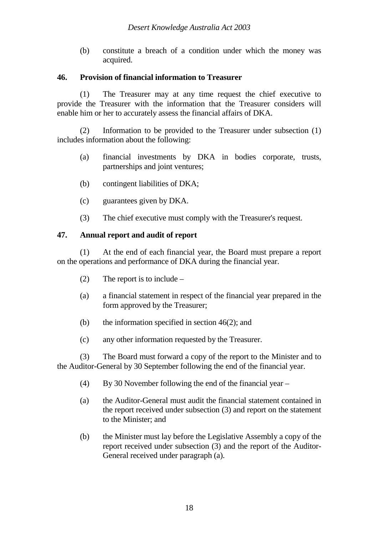(b) constitute a breach of a condition under which the money was acquired.

## **46. Provision of financial information to Treasurer**

(1) The Treasurer may at any time request the chief executive to provide the Treasurer with the information that the Treasurer considers will enable him or her to accurately assess the financial affairs of DKA.

(2) Information to be provided to the Treasurer under subsection (1) includes information about the following:

- (a) financial investments by DKA in bodies corporate, trusts, partnerships and joint ventures;
- (b) contingent liabilities of DKA;
- (c) guarantees given by DKA.
- (3) The chief executive must comply with the Treasurer's request.

## **47. Annual report and audit of report**

(1) At the end of each financial year, the Board must prepare a report on the operations and performance of DKA during the financial year.

- (2) The report is to include –
- (a) a financial statement in respect of the financial year prepared in the form approved by the Treasurer;
- (b) the information specified in section  $46(2)$ ; and
- (c) any other information requested by the Treasurer.

(3) The Board must forward a copy of the report to the Minister and to the Auditor-General by 30 September following the end of the financial year.

- (4) By 30 November following the end of the financial year –
- (a) the Auditor-General must audit the financial statement contained in the report received under subsection (3) and report on the statement to the Minister; and
- (b) the Minister must lay before the Legislative Assembly a copy of the report received under subsection (3) and the report of the Auditor-General received under paragraph (a).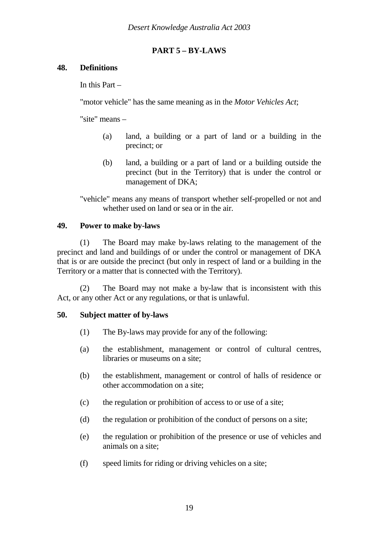# **PART 5 – BY-LAWS**

## **48. Definitions**

In this Part –

"motor vehicle" has the same meaning as in the *Motor Vehicles Act*;

"site" means –

- (a) land, a building or a part of land or a building in the precinct; or
- (b) land, a building or a part of land or a building outside the precinct (but in the Territory) that is under the control or management of DKA;

"vehicle" means any means of transport whether self-propelled or not and whether used on land or sea or in the air.

# **49. Power to make by-laws**

(1) The Board may make by-laws relating to the management of the precinct and land and buildings of or under the control or management of DKA that is or are outside the precinct (but only in respect of land or a building in the Territory or a matter that is connected with the Territory).

(2) The Board may not make a by-law that is inconsistent with this Act, or any other Act or any regulations, or that is unlawful.

## **50. Subject matter of by-laws**

- (1) The By-laws may provide for any of the following:
- (a) the establishment, management or control of cultural centres, libraries or museums on a site;
- (b) the establishment, management or control of halls of residence or other accommodation on a site;
- (c) the regulation or prohibition of access to or use of a site;
- (d) the regulation or prohibition of the conduct of persons on a site;
- (e) the regulation or prohibition of the presence or use of vehicles and animals on a site;
- (f) speed limits for riding or driving vehicles on a site;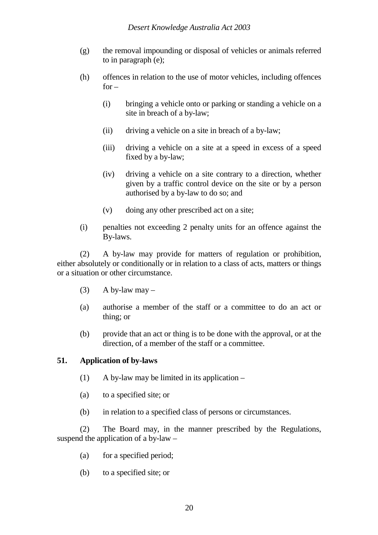- (g) the removal impounding or disposal of vehicles or animals referred to in paragraph (e);
- (h) offences in relation to the use of motor vehicles, including offences  $for -$ 
	- (i) bringing a vehicle onto or parking or standing a vehicle on a site in breach of a by-law;
	- (ii) driving a vehicle on a site in breach of a by-law;
	- (iii) driving a vehicle on a site at a speed in excess of a speed fixed by a by-law;
	- (iv) driving a vehicle on a site contrary to a direction, whether given by a traffic control device on the site or by a person authorised by a by-law to do so; and
	- (v) doing any other prescribed act on a site;
- (i) penalties not exceeding 2 penalty units for an offence against the By-laws.

(2) A by-law may provide for matters of regulation or prohibition, either absolutely or conditionally or in relation to a class of acts, matters or things or a situation or other circumstance.

- (3) A by-law may  $-$
- (a) authorise a member of the staff or a committee to do an act or thing; or
- (b) provide that an act or thing is to be done with the approval, or at the direction, of a member of the staff or a committee.

## **51. Application of by-laws**

- (1) A by-law may be limited in its application  $-$
- (a) to a specified site; or
- (b) in relation to a specified class of persons or circumstances.

(2) The Board may, in the manner prescribed by the Regulations, suspend the application of a by-law –

- (a) for a specified period;
- (b) to a specified site; or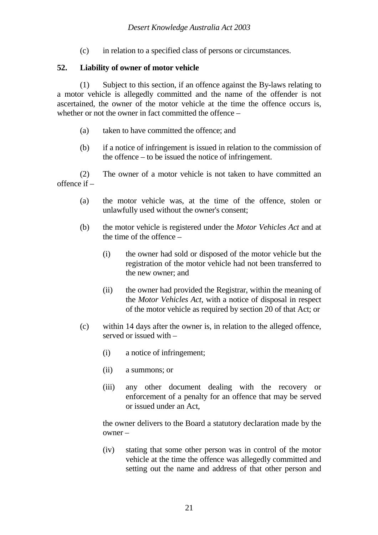(c) in relation to a specified class of persons or circumstances.

# **52. Liability of owner of motor vehicle**

(1) Subject to this section, if an offence against the By-laws relating to a motor vehicle is allegedly committed and the name of the offender is not ascertained, the owner of the motor vehicle at the time the offence occurs is, whether or not the owner in fact committed the offence –

- (a) taken to have committed the offence; and
- (b) if a notice of infringement is issued in relation to the commission of the offence – to be issued the notice of infringement.

(2) The owner of a motor vehicle is not taken to have committed an offence if –

- (a) the motor vehicle was, at the time of the offence, stolen or unlawfully used without the owner's consent;
- (b) the motor vehicle is registered under the *Motor Vehicles Act* and at the time of the offence –
	- (i) the owner had sold or disposed of the motor vehicle but the registration of the motor vehicle had not been transferred to the new owner; and
	- (ii) the owner had provided the Registrar, within the meaning of the *Motor Vehicles Act*, with a notice of disposal in respect of the motor vehicle as required by section 20 of that Act; or
- (c) within 14 days after the owner is, in relation to the alleged offence, served or issued with –
	- (i) a notice of infringement;
	- (ii) a summons; or
	- (iii) any other document dealing with the recovery or enforcement of a penalty for an offence that may be served or issued under an Act,

the owner delivers to the Board a statutory declaration made by the owner –

(iv) stating that some other person was in control of the motor vehicle at the time the offence was allegedly committed and setting out the name and address of that other person and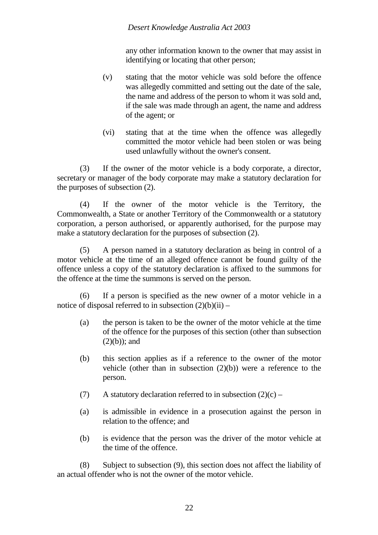## *Desert Knowledge Australia Act 2003*

any other information known to the owner that may assist in identifying or locating that other person;

- (v) stating that the motor vehicle was sold before the offence was allegedly committed and setting out the date of the sale, the name and address of the person to whom it was sold and, if the sale was made through an agent, the name and address of the agent; or
- (vi) stating that at the time when the offence was allegedly committed the motor vehicle had been stolen or was being used unlawfully without the owner's consent.

(3) If the owner of the motor vehicle is a body corporate, a director, secretary or manager of the body corporate may make a statutory declaration for the purposes of subsection (2).

(4) If the owner of the motor vehicle is the Territory, the Commonwealth, a State or another Territory of the Commonwealth or a statutory corporation, a person authorised, or apparently authorised, for the purpose may make a statutory declaration for the purposes of subsection (2).

(5) A person named in a statutory declaration as being in control of a motor vehicle at the time of an alleged offence cannot be found guilty of the offence unless a copy of the statutory declaration is affixed to the summons for the offence at the time the summons is served on the person.

(6) If a person is specified as the new owner of a motor vehicle in a notice of disposal referred to in subsection  $(2)(b)(ii)$  –

- (a) the person is taken to be the owner of the motor vehicle at the time of the offence for the purposes of this section (other than subsection  $(2)(b)$ ; and
- (b) this section applies as if a reference to the owner of the motor vehicle (other than in subsection  $(2)(b)$ ) were a reference to the person.
- (7) A statutory declaration referred to in subsection  $(2)(c)$  –
- (a) is admissible in evidence in a prosecution against the person in relation to the offence; and
- (b) is evidence that the person was the driver of the motor vehicle at the time of the offence.

(8) Subject to subsection (9), this section does not affect the liability of an actual offender who is not the owner of the motor vehicle.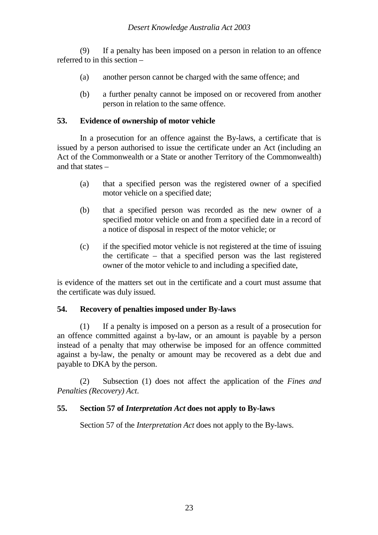(9) If a penalty has been imposed on a person in relation to an offence referred to in this section –

- (a) another person cannot be charged with the same offence; and
- (b) a further penalty cannot be imposed on or recovered from another person in relation to the same offence.

## **53. Evidence of ownership of motor vehicle**

In a prosecution for an offence against the By-laws, a certificate that is issued by a person authorised to issue the certificate under an Act (including an Act of the Commonwealth or a State or another Territory of the Commonwealth) and that states –

- (a) that a specified person was the registered owner of a specified motor vehicle on a specified date;
- (b) that a specified person was recorded as the new owner of a specified motor vehicle on and from a specified date in a record of a notice of disposal in respect of the motor vehicle; or
- (c) if the specified motor vehicle is not registered at the time of issuing the certificate – that a specified person was the last registered owner of the motor vehicle to and including a specified date,

is evidence of the matters set out in the certificate and a court must assume that the certificate was duly issued.

## **54. Recovery of penalties imposed under By-laws**

(1) If a penalty is imposed on a person as a result of a prosecution for an offence committed against a by-law, or an amount is payable by a person instead of a penalty that may otherwise be imposed for an offence committed against a by-law, the penalty or amount may be recovered as a debt due and payable to DKA by the person.

(2) Subsection (1) does not affect the application of the *Fines and Penalties (Recovery) Act*.

## **55. Section 57 of** *Interpretation Act* **does not apply to By-laws**

Section 57 of the *Interpretation Act* does not apply to the By-laws.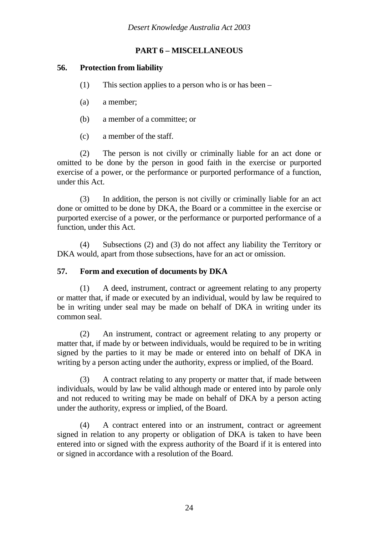# **PART 6 – MISCELLANEOUS**

# **56. Protection from liability**

- (1) This section applies to a person who is or has been –
- (a) a member;
- (b) a member of a committee; or
- (c) a member of the staff.

(2) The person is not civilly or criminally liable for an act done or omitted to be done by the person in good faith in the exercise or purported exercise of a power, or the performance or purported performance of a function, under this Act.

(3) In addition, the person is not civilly or criminally liable for an act done or omitted to be done by DKA, the Board or a committee in the exercise or purported exercise of a power, or the performance or purported performance of a function, under this Act.

(4) Subsections (2) and (3) do not affect any liability the Territory or DKA would, apart from those subsections, have for an act or omission.

## **57. Form and execution of documents by DKA**

(1) A deed, instrument, contract or agreement relating to any property or matter that, if made or executed by an individual, would by law be required to be in writing under seal may be made on behalf of DKA in writing under its common seal.

(2) An instrument, contract or agreement relating to any property or matter that, if made by or between individuals, would be required to be in writing signed by the parties to it may be made or entered into on behalf of DKA in writing by a person acting under the authority, express or implied, of the Board.

(3) A contract relating to any property or matter that, if made between individuals, would by law be valid although made or entered into by parole only and not reduced to writing may be made on behalf of DKA by a person acting under the authority, express or implied, of the Board.

(4) A contract entered into or an instrument, contract or agreement signed in relation to any property or obligation of DKA is taken to have been entered into or signed with the express authority of the Board if it is entered into or signed in accordance with a resolution of the Board.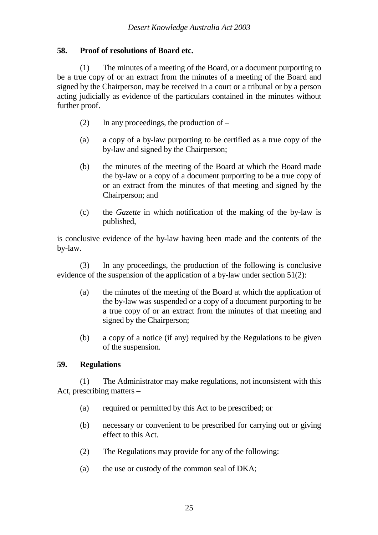# **58. Proof of resolutions of Board etc.**

(1) The minutes of a meeting of the Board, or a document purporting to be a true copy of or an extract from the minutes of a meeting of the Board and signed by the Chairperson, may be received in a court or a tribunal or by a person acting judicially as evidence of the particulars contained in the minutes without further proof.

- (2) In any proceedings, the production of  $-$
- (a) a copy of a by-law purporting to be certified as a true copy of the by-law and signed by the Chairperson;
- (b) the minutes of the meeting of the Board at which the Board made the by-law or a copy of a document purporting to be a true copy of or an extract from the minutes of that meeting and signed by the Chairperson; and
- (c) the *Gazette* in which notification of the making of the by-law is published,

is conclusive evidence of the by-law having been made and the contents of the by-law.

(3) In any proceedings, the production of the following is conclusive evidence of the suspension of the application of a by-law under section 51(2):

- (a) the minutes of the meeting of the Board at which the application of the by-law was suspended or a copy of a document purporting to be a true copy of or an extract from the minutes of that meeting and signed by the Chairperson;
- (b) a copy of a notice (if any) required by the Regulations to be given of the suspension.

## **59. Regulations**

(1) The Administrator may make regulations, not inconsistent with this Act, prescribing matters –

- (a) required or permitted by this Act to be prescribed; or
- (b) necessary or convenient to be prescribed for carrying out or giving effect to this Act.
- (2) The Regulations may provide for any of the following:
- (a) the use or custody of the common seal of DKA;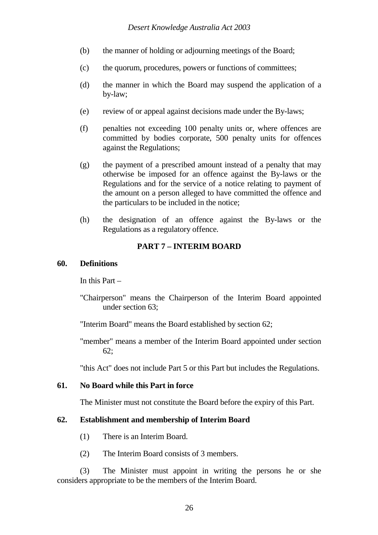- (b) the manner of holding or adjourning meetings of the Board;
- (c) the quorum, procedures, powers or functions of committees;
- (d) the manner in which the Board may suspend the application of a by-law;
- (e) review of or appeal against decisions made under the By-laws;
- (f) penalties not exceeding 100 penalty units or, where offences are committed by bodies corporate, 500 penalty units for offences against the Regulations;
- (g) the payment of a prescribed amount instead of a penalty that may otherwise be imposed for an offence against the By-laws or the Regulations and for the service of a notice relating to payment of the amount on a person alleged to have committed the offence and the particulars to be included in the notice;
- (h) the designation of an offence against the By-laws or the Regulations as a regulatory offence.

## **PART 7 – INTERIM BOARD**

### **60. Definitions**

In this Part –

"Chairperson" means the Chairperson of the Interim Board appointed under section 63;

"Interim Board" means the Board established by section 62;

"member" means a member of the Interim Board appointed under section 62;

"this Act" does not include Part 5 or this Part but includes the Regulations.

### **61. No Board while this Part in force**

The Minister must not constitute the Board before the expiry of this Part.

### **62. Establishment and membership of Interim Board**

- (1) There is an Interim Board.
- (2) The Interim Board consists of 3 members.

(3) The Minister must appoint in writing the persons he or she considers appropriate to be the members of the Interim Board.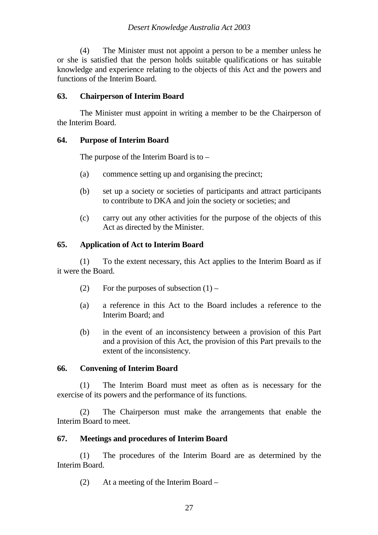(4) The Minister must not appoint a person to be a member unless he or she is satisfied that the person holds suitable qualifications or has suitable knowledge and experience relating to the objects of this Act and the powers and functions of the Interim Board.

## **63. Chairperson of Interim Board**

The Minister must appoint in writing a member to be the Chairperson of the Interim Board.

## **64. Purpose of Interim Board**

The purpose of the Interim Board is to –

- (a) commence setting up and organising the precinct;
- (b) set up a society or societies of participants and attract participants to contribute to DKA and join the society or societies; and
- (c) carry out any other activities for the purpose of the objects of this Act as directed by the Minister.

## **65. Application of Act to Interim Board**

(1) To the extent necessary, this Act applies to the Interim Board as if it were the Board.

- (2) For the purposes of subsection  $(1)$  –
- (a) a reference in this Act to the Board includes a reference to the Interim Board; and
- (b) in the event of an inconsistency between a provision of this Part and a provision of this Act, the provision of this Part prevails to the extent of the inconsistency.

## **66. Convening of Interim Board**

(1) The Interim Board must meet as often as is necessary for the exercise of its powers and the performance of its functions.

(2) The Chairperson must make the arrangements that enable the Interim Board to meet.

## **67. Meetings and procedures of Interim Board**

(1) The procedures of the Interim Board are as determined by the Interim Board.

(2) At a meeting of the Interim Board –